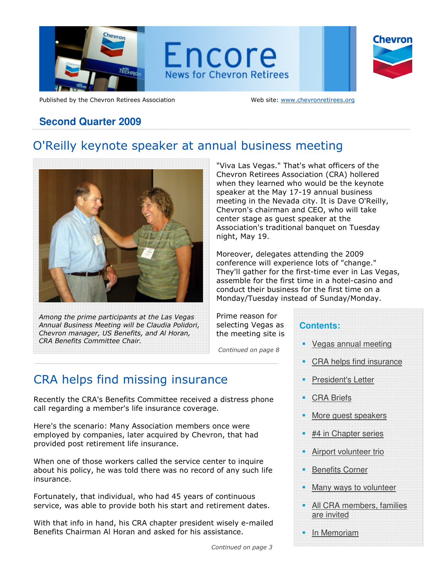

Published by the Chevron Retirees Association Web site: www.chevronretirees.org

# **Second Quarter 2009**

# O'Reilly keynote speaker at annual business meeting



Among the prime participants at the Las Vegas Annual Business Meeting will be Claudia Polidori, Chevron manager, US Benefits, and Al Horan, CRA Benefits Committee Chair.

"Viva Las Vegas." That's what officers of the Chevron Retirees Association (CRA) hollered when they learned who would be the keynote speaker at the May 17-19 annual business meeting in the Nevada city. It is Dave O'Reilly, Chevron's chairman and CEO, who will take center stage as guest speaker at the Association's traditional banquet on Tuesday night, May 19.

Moreover, delegates attending the 2009 conference will experience lots of "change." They'll gather for the first-time ever in Las Vegas, assemble for the first time in a hotel-casino and conduct their business for the first time on a Monday/Tuesday instead of Sunday/Monday.

Prime reason for selecting Vegas as the meeting site is Continued on page 8 **Contents:**  Vegas annual meeting CRA helps find insurance President's Letter CRA Briefs More guest speakers #4 in Chapter series Airport volunteer trio Benefits Corner Many ways to volunteer All CRA members, families are invited In Memoriam

# CRA helps find missing insurance

Recently the CRA's Benefits Committee received a distress phone call regarding a member's life insurance coverage.

Here's the scenario: Many Association members once were employed by companies, later acquired by Chevron, that had provided post retirement life insurance.

When one of those workers called the service center to inquire about his policy, he was told there was no record of any such life insurance.

Fortunately, that individual, who had 45 years of continuous service, was able to provide both his start and retirement dates.

With that info in hand, his CRA chapter president wisely e-mailed Benefits Chairman Al Horan and asked for his assistance.

Continued on page 3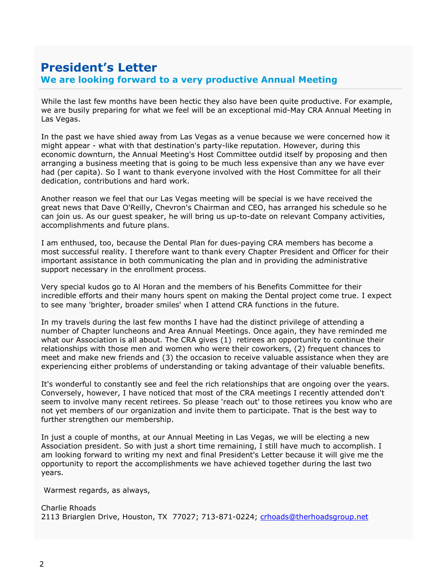## We are looking forward to a very productive Annual MeetingPresident's Letter

While the last few months have been hectic they also have been quite productive. For example, we are busily preparing for what we feel will be an exceptional mid-May CRA Annual Meeting in Las Vegas.

In the past we have shied away from Las Vegas as a venue because we were concerned how it might appear - what with that destination's party-like reputation. However, during this economic downturn, the Annual Meeting's Host Committee outdid itself by proposing and then arranging a business meeting that is going to be much less expensive than any we have ever had (per capita). So I want to thank everyone involved with the Host Committee for all their dedication, contributions and hard work.

Another reason we feel that our Las Vegas meeting will be special is we have received the great news that Dave O'Reilly, Chevron's Chairman and CEO, has arranged his schedule so he can join us. As our guest speaker, he will bring us up-to-date on relevant Company activities, accomplishments and future plans.

I am enthused, too, because the Dental Plan for dues-paying CRA members has become a most successful reality. I therefore want to thank every Chapter President and Officer for their important assistance in both communicating the plan and in providing the administrative support necessary in the enrollment process.

Very special kudos go to Al Horan and the members of his Benefits Committee for their incredible efforts and their many hours spent on making the Dental project come true. I expect to see many 'brighter, broader smiles' when I attend CRA functions in the future.

In my travels during the last few months I have had the distinct privilege of attending a number of Chapter luncheons and Area Annual Meetings. Once again, they have reminded me what our Association is all about. The CRA gives (1) retirees an opportunity to continue their relationships with those men and women who were their coworkers, (2) frequent chances to meet and make new friends and (3) the occasion to receive valuable assistance when they are experiencing either problems of understanding or taking advantage of their valuable benefits.

It's wonderful to constantly see and feel the rich relationships that are ongoing over the years. Conversely, however, I have noticed that most of the CRA meetings I recently attended don't seem to involve many recent retirees. So please 'reach out' to those retirees you know who are not yet members of our organization and invite them to participate. That is the best way to further strengthen our membership.

In just a couple of months, at our Annual Meeting in Las Vegas, we will be electing a new Association president. So with just a short time remaining, I still have much to accomplish. I am looking forward to writing my next and final President's Letter because it will give me the opportunity to report the accomplishments we have achieved together during the last two years.

Warmest regards, as always,

```
Charlie Rhoads 
2113 Briarglen Drive, Houston, TX 77027; 713-871-0224; crhoads@therhoadsgroup.net
```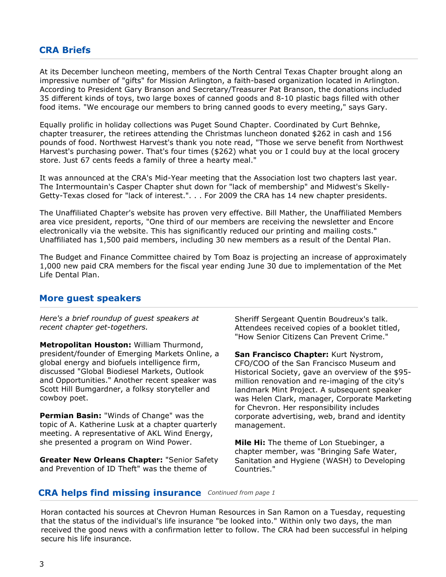## CRA Briefs

At its December luncheon meeting, members of the North Central Texas Chapter brought along an impressive number of "gifts" for Mission Arlington, a faith-based organization located in Arlington. According to President Gary Branson and Secretary/Treasurer Pat Branson, the donations included 35 different kinds of toys, two large boxes of canned goods and 8-10 plastic bags filled with other food items. "We encourage our members to bring canned goods to every meeting," says Gary.

Equally prolific in holiday collections was Puget Sound Chapter. Coordinated by Curt Behnke, chapter treasurer, the retirees attending the Christmas luncheon donated \$262 in cash and 156 pounds of food. Northwest Harvest's thank you note read, "Those we serve benefit from Northwest Harvest's purchasing power. That's four times (\$262) what you or I could buy at the local grocery store. Just 67 cents feeds a family of three a hearty meal."

It was announced at the CRA's Mid-Year meeting that the Association lost two chapters last year. The Intermountain's Casper Chapter shut down for "lack of membership" and Midwest's Skelly-Getty-Texas closed for "lack of interest.". . . For 2009 the CRA has 14 new chapter presidents.

The Unaffiliated Chapter's website has proven very effective. Bill Mather, the Unaffiliated Members area vice president, reports, "One third of our members are receiving the newsletter and Encore electronically via the website. This has significantly reduced our printing and mailing costs." Unaffiliated has 1,500 paid members, including 30 new members as a result of the Dental Plan.

The Budget and Finance Committee chaired by Tom Boaz is projecting an increase of approximately 1,000 new paid CRA members for the fiscal year ending June 30 due to implementation of the Met Life Dental Plan.

#### More guest speakers

Here's a brief roundup of guest speakers at recent chapter get-togethers.

Metropolitan Houston: William Thurmond, president/founder of Emerging Markets Online, a global energy and biofuels intelligence firm, discussed "Global Biodiesel Markets, Outlook and Opportunities." Another recent speaker was Scott Hill Bumgardner, a folksy storyteller and cowboy poet.

**Permian Basin:** "Winds of Change" was the topic of A. Katherine Lusk at a chapter quarterly meeting. A representative of AKL Wind Energy, she presented a program on Wind Power.

**Greater New Orleans Chapter: "Senior Safety** and Prevention of ID Theft" was the theme of

Sheriff Sergeant Quentin Boudreux's talk. Attendees received copies of a booklet titled, "How Senior Citizens Can Prevent Crime."

San Francisco Chapter: Kurt Nystrom, CFO/COO of the San Francisco Museum and Historical Society, gave an overview of the \$95 million renovation and re-imaging of the city's landmark Mint Project. A subsequent speaker was Helen Clark, manager, Corporate Marketing for Chevron. Her responsibility includes corporate advertising, web, brand and identity management.

Mile Hi: The theme of Lon Stuebinger, a chapter member, was "Bringing Safe Water, Sanitation and Hygiene (WASH) to Developing Countries."

#### CRA helps find missing insurance Continued from page 1

Horan contacted his sources at Chevron Human Resources in San Ramon on a Tuesday, requesting that the status of the individual's life insurance "be looked into." Within only two days, the man received the good news with a confirmation letter to follow. The CRA had been successful in helping secure his life insurance.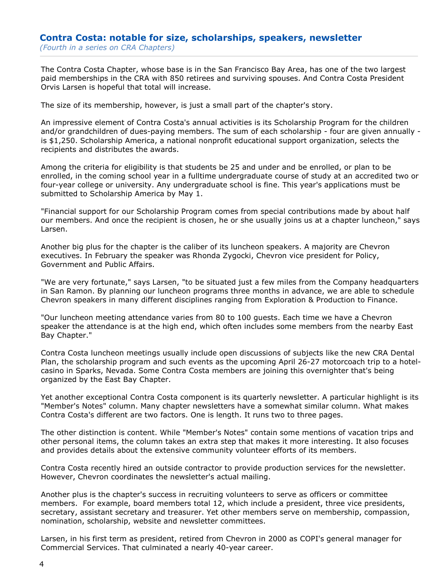#### Contra Costa: notable for size, scholarships, speakers, newsletter (Fourth in a series on CRA Chapters)

The Contra Costa Chapter, whose base is in the San Francisco Bay Area, has one of the two largest paid memberships in the CRA with 850 retirees and surviving spouses. And Contra Costa President Orvis Larsen is hopeful that total will increase.

The size of its membership, however, is just a small part of the chapter's story.

An impressive element of Contra Costa's annual activities is its Scholarship Program for the children and/or grandchildren of dues-paying members. The sum of each scholarship - four are given annually is \$1,250. Scholarship America, a national nonprofit educational support organization, selects the recipients and distributes the awards.

Among the criteria for eligibility is that students be 25 and under and be enrolled, or plan to be enrolled, in the coming school year in a fulltime undergraduate course of study at an accredited two or four-year college or university. Any undergraduate school is fine. This year's applications must be submitted to Scholarship America by May 1.

"Financial support for our Scholarship Program comes from special contributions made by about half our members. And once the recipient is chosen, he or she usually joins us at a chapter luncheon," says Larsen.

Another big plus for the chapter is the caliber of its luncheon speakers. A majority are Chevron executives. In February the speaker was Rhonda Zygocki, Chevron vice president for Policy, Government and Public Affairs.

"We are very fortunate," says Larsen, "to be situated just a few miles from the Company headquarters in San Ramon. By planning our luncheon programs three months in advance, we are able to schedule Chevron speakers in many different disciplines ranging from Exploration & Production to Finance.

"Our luncheon meeting attendance varies from 80 to 100 guests. Each time we have a Chevron speaker the attendance is at the high end, which often includes some members from the nearby East Bay Chapter."

Contra Costa luncheon meetings usually include open discussions of subjects like the new CRA Dental Plan, the scholarship program and such events as the upcoming April 26-27 motorcoach trip to a hotelcasino in Sparks, Nevada. Some Contra Costa members are joining this overnighter that's being organized by the East Bay Chapter.

Yet another exceptional Contra Costa component is its quarterly newsletter. A particular highlight is its "Member's Notes" column. Many chapter newsletters have a somewhat similar column. What makes Contra Costa's different are two factors. One is length. It runs two to three pages.

The other distinction is content. While "Member's Notes" contain some mentions of vacation trips and other personal items, the column takes an extra step that makes it more interesting. It also focuses and provides details about the extensive community volunteer efforts of its members.

Contra Costa recently hired an outside contractor to provide production services for the newsletter. However, Chevron coordinates the newsletter's actual mailing.

Another plus is the chapter's success in recruiting volunteers to serve as officers or committee members. For example, board members total 12, which include a president, three vice presidents, secretary, assistant secretary and treasurer. Yet other members serve on membership, compassion, nomination, scholarship, website and newsletter committees.

Larsen, in his first term as president, retired from Chevron in 2000 as COPI's general manager for Commercial Services. That culminated a nearly 40-year career.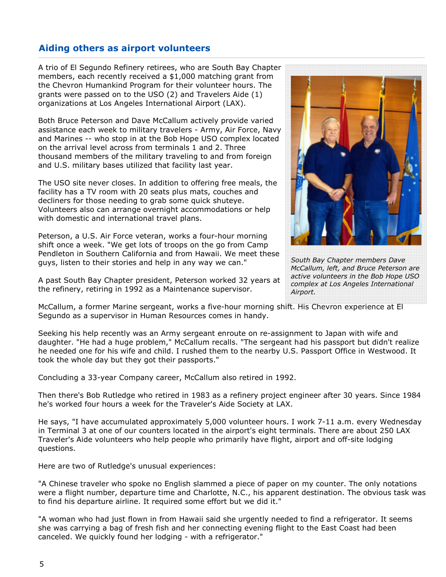## Aiding others as airport volunteers

A trio of El Segundo Refinery retirees, who are South Bay Chapter members, each recently received a \$1,000 matching grant from the Chevron Humankind Program for their volunteer hours. The grants were passed on to the USO (2) and Travelers Aide (1) organizations at Los Angeles International Airport (LAX).

Both Bruce Peterson and Dave McCallum actively provide varied assistance each week to military travelers - Army, Air Force, Navy and Marines -- who stop in at the Bob Hope USO complex located on the arrival level across from terminals 1 and 2. Three thousand members of the military traveling to and from foreign and U.S. military bases utilized that facility last year.

The USO site never closes. In addition to offering free meals, the facility has a TV room with 20 seats plus mats, couches and decliners for those needing to grab some quick shuteye. Volunteers also can arrange overnight accommodations or help with domestic and international travel plans.

Peterson, a U.S. Air Force veteran, works a four-hour morning shift once a week. "We get lots of troops on the go from Camp Pendleton in Southern California and from Hawaii. We meet these guys, listen to their stories and help in any way we can."

A past South Bay Chapter president, Peterson worked 32 years at the refinery, retiring in 1992 as a Maintenance supervisor.



South Bay Chapter members Dave McCallum, left, and Bruce Peterson are active volunteers in the Bob Hope USO complex at Los Angeles International Airport.

McCallum, a former Marine sergeant, works a five-hour morning shift. His Chevron experience at El Segundo as a supervisor in Human Resources comes in handy.

Seeking his help recently was an Army sergeant enroute on re-assignment to Japan with wife and daughter. "He had a huge problem," McCallum recalls. "The sergeant had his passport but didn't realize he needed one for his wife and child. I rushed them to the nearby U.S. Passport Office in Westwood. It took the whole day but they got their passports."

Concluding a 33-year Company career, McCallum also retired in 1992.

Then there's Bob Rutledge who retired in 1983 as a refinery project engineer after 30 years. Since 1984 he's worked four hours a week for the Traveler's Aide Society at LAX.

He says, "I have accumulated approximately 5,000 volunteer hours. I work 7-11 a.m. every Wednesday in Terminal 3 at one of our counters located in the airport's eight terminals. There are about 250 LAX Traveler's Aide volunteers who help people who primarily have flight, airport and off-site lodging questions.

Here are two of Rutledge's unusual experiences:

"A Chinese traveler who spoke no English slammed a piece of paper on my counter. The only notations were a flight number, departure time and Charlotte, N.C., his apparent destination. The obvious task was to find his departure airline. It required some effort but we did it."

"A woman who had just flown in from Hawaii said she urgently needed to find a refrigerator. It seems she was carrying a bag of fresh fish and her connecting evening flight to the East Coast had been canceled. We quickly found her lodging - with a refrigerator."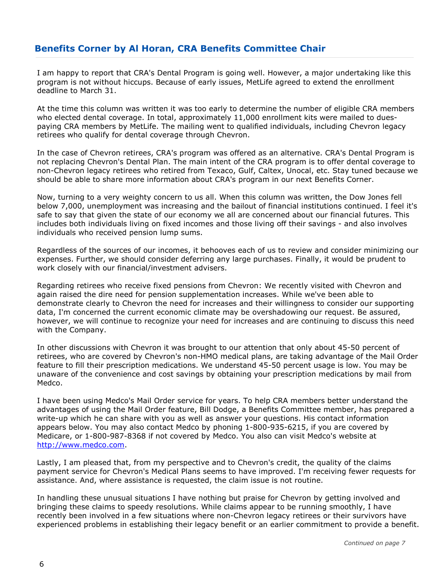## Benefits Corner by Al Horan, CRA Benefits Committee Chair

I am happy to report that CRA's Dental Program is going well. However, a major undertaking like this program is not without hiccups. Because of early issues, MetLife agreed to extend the enrollment deadline to March 31.

At the time this column was written it was too early to determine the number of eligible CRA members who elected dental coverage. In total, approximately 11,000 enrollment kits were mailed to duespaying CRA members by MetLife. The mailing went to qualified individuals, including Chevron legacy retirees who qualify for dental coverage through Chevron.

In the case of Chevron retirees, CRA's program was offered as an alternative. CRA's Dental Program is not replacing Chevron's Dental Plan. The main intent of the CRA program is to offer dental coverage to non-Chevron legacy retirees who retired from Texaco, Gulf, Caltex, Unocal, etc. Stay tuned because we should be able to share more information about CRA's program in our next Benefits Corner.

Now, turning to a very weighty concern to us all. When this column was written, the Dow Jones fell below 7,000, unemployment was increasing and the bailout of financial institutions continued. I feel it's safe to say that given the state of our economy we all are concerned about our financial futures. This includes both individuals living on fixed incomes and those living off their savings - and also involves individuals who received pension lump sums.

Regardless of the sources of our incomes, it behooves each of us to review and consider minimizing our expenses. Further, we should consider deferring any large purchases. Finally, it would be prudent to work closely with our financial/investment advisers.

Regarding retirees who receive fixed pensions from Chevron: We recently visited with Chevron and again raised the dire need for pension supplementation increases. While we've been able to demonstrate clearly to Chevron the need for increases and their willingness to consider our supporting data, I'm concerned the current economic climate may be overshadowing our request. Be assured, however, we will continue to recognize your need for increases and are continuing to discuss this need with the Company.

In other discussions with Chevron it was brought to our attention that only about 45-50 percent of retirees, who are covered by Chevron's non-HMO medical plans, are taking advantage of the Mail Order feature to fill their prescription medications. We understand 45-50 percent usage is low. You may be unaware of the convenience and cost savings by obtaining your prescription medications by mail from Medco.

I have been using Medco's Mail Order service for years. To help CRA members better understand the advantages of using the Mail Order feature, Bill Dodge, a Benefits Committee member, has prepared a write-up which he can share with you as well as answer your questions. His contact information appears below. You may also contact Medco by phoning 1-800-935-6215, if you are covered by Medicare, or 1-800-987-8368 if not covered by Medco. You also can visit Medco's website at http://www.medco.com.

Lastly, I am pleased that, from my perspective and to Chevron's credit, the quality of the claims payment service for Chevron's Medical Plans seems to have improved. I'm receiving fewer requests for assistance. And, where assistance is requested, the claim issue is not routine.

In handling these unusual situations I have nothing but praise for Chevron by getting involved and bringing these claims to speedy resolutions. While claims appear to be running smoothly, I have recently been involved in a few situations where non-Chevron legacy retirees or their survivors have experienced problems in establishing their legacy benefit or an earlier commitment to provide a benefit.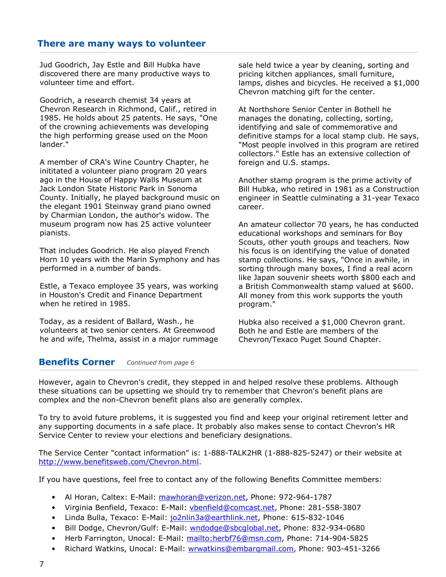### There are many ways to volunteer

Jud Goodrich, Jay Estle and Bill Hubka have discovered there are many productive ways to volunteer time and effort.

Goodrich, a research chemist 34 years at Chevron Research in Richmond, Calif., retired in 1985. He holds about 25 patents. He says, "One of the crowning achievements was developing the high performing grease used on the Moon lander."

A member of CRA's Wine Country Chapter, he inititated a volunteer piano program 20 years ago in the House of Happy Walls Museum at Jack London State Historic Park in Sonoma County. Initially, he played background music on the elegant 1901 Steinway grand piano owned by Charmian London, the author's widow. The museum program now has 25 active volunteer pianists.

That includes Goodrich. He also played French Horn 10 years with the Marin Symphony and has performed in a number of bands.

Estle, a Texaco employee 35 years, was working in Houston's Credit and Finance Department when he retired in 1985.

Today, as a resident of Ballard, Wash., he volunteers at two senior centers. At Greenwood he and wife, Thelma, assist in a major rummage sale held twice a year by cleaning, sorting and pricing kitchen appliances, small furniture, lamps, dishes and bicycles. He received a \$1,000 Chevron matching gift for the center.

At Northshore Senior Center in Bothell he manages the donating, collecting, sorting, identifying and sale of commemorative and definitive stamps for a local stamp club. He says, "Most people involved in this program are retired collectors." Estle has an extensive collection of foreign and U.S. stamps.

Another stamp program is the prime activity of Bill Hubka, who retired in 1981 as a Construction engineer in Seattle culminating a 31-year Texaco career.

An amateur collector 70 years, he has conducted educational workshops and seminars for Boy Scouts, other youth groups and teachers. Now his focus is on identifying the value of donated stamp collections. He says, "Once in awhile, in sorting through many boxes, I find a real acorn like Japan souvenir sheets worth \$800 each and a British Commonwealth stamp valued at \$600. All money from this work supports the youth program."

Hubka also received a \$1,000 Chevron grant. Both he and Estle are members of the Chevron/Texaco Puget Sound Chapter.

### **Benefits Corner** Continued from page 6

However, again to Chevron's credit, they stepped in and helped resolve these problems. Although these situations can be upsetting we should try to remember that Chevron's benefit plans are complex and the non-Chevron benefit plans also are generally complex.

To try to avoid future problems, it is suggested you find and keep your original retirement letter and any supporting documents in a safe place. It probably also makes sense to contact Chevron's HR Service Center to review your elections and beneficiary designations.

The Service Center "contact information" is: 1-888-TALK2HR (1-888-825-5247) or their website at http://www.benefitsweb.com/Chevron.html.

If you have questions, feel free to contact any of the following Benefits Committee members:

- Al Horan, Caltex: E-Mail: mawhoran@verizon.net, Phone: 972-964-1787
- Virginia Benfield, Texaco: E-Mail: vbenfield@comcast.net, Phone: 281-558-3807
- Linda Bulla, Texaco: E-Mail: jo2nlin3a@earthlink.net, Phone: 615-832-1046
- Bill Dodge, Chevron/Gulf: E-Mail: wndodge@sbcglobal.net, Phone: 832-934-0680
- Herb Farrington, Unocal: E-Mail: mailto:herbf76@msn.com, Phone: 714-904-5825
- Richard Watkins, Unocal: E-Mail: wrwatkins@embarqmail.com, Phone: 903-451-3266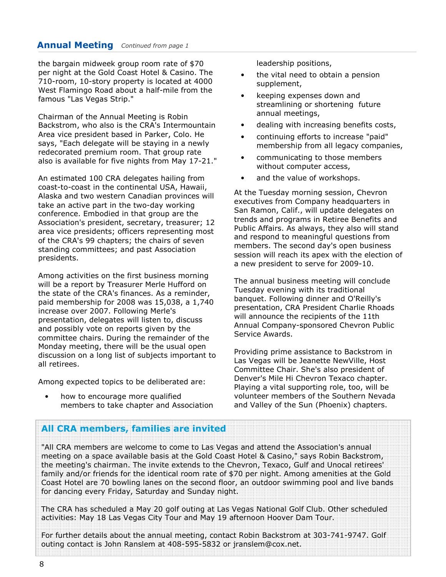the bargain midweek group room rate of \$70 per night at the Gold Coast Hotel & Casino. The 710-room, 10-story property is located at 4000 West Flamingo Road about a half-mile from the famous "Las Vegas Strip."

Chairman of the Annual Meeting is Robin Backstrom, who also is the CRA's Intermountain Area vice president based in Parker, Colo. He says, "Each delegate will be staying in a newly redecorated premium room. That group rate also is available for five nights from May 17-21."

An estimated 100 CRA delegates hailing from coast-to-coast in the continental USA, Hawaii, Alaska and two western Canadian provinces will take an active part in the two-day working conference. Embodied in that group are the Association's president, secretary, treasurer; 12 area vice presidents; officers representing most of the CRA's 99 chapters; the chairs of seven standing committees; and past Association presidents.

Among activities on the first business morning will be a report by Treasurer Merle Hufford on the state of the CRA's finances. As a reminder, paid membership for 2008 was 15,038, a 1,740 increase over 2007. Following Merle's presentation, delegates will listen to, discuss and possibly vote on reports given by the committee chairs. During the remainder of the Monday meeting, there will be the usual open discussion on a long list of subjects important to all retirees.

Among expected topics to be deliberated are:

how to encourage more qualified members to take chapter and Association leadership positions,

- the vital need to obtain a pension supplement,
- keeping expenses down and streamlining or shortening future annual meetings,
- dealing with increasing benefits costs,
- continuing efforts to increase "paid" membership from all legacy companies,
- communicating to those members without computer access,
- and the value of workshops.

At the Tuesday morning session, Chevron executives from Company headquarters in San Ramon, Calif., will update delegates on trends and programs in Retiree Benefits and Public Affairs. As always, they also will stand and respond to meaningful questions from members. The second day's open business session will reach its apex with the election of a new president to serve for 2009-10.

The annual business meeting will conclude Tuesday evening with its traditional banquet. Following dinner and O'Reilly's presentation, CRA President Charlie Rhoads will announce the recipients of the 11th Annual Company-sponsored Chevron Public Service Awards.

Providing prime assistance to Backstrom in Las Vegas will be Jeanette NewVille, Host Committee Chair. She's also president of Denver's Mile Hi Chevron Texaco chapter. Playing a vital supporting role, too, will be volunteer members of the Southern Nevada and Valley of the Sun (Phoenix) chapters.

#### All CRA members, families are invited

"All CRA members are welcome to come to Las Vegas and attend the Association's annual meeting on a space available basis at the Gold Coast Hotel & Casino," says Robin Backstrom, the meeting's chairman. The invite extends to the Chevron, Texaco, Gulf and Unocal retirees' family and/or friends for the identical room rate of \$70 per night. Among amenities at the Gold Coast Hotel are 70 bowling lanes on the second floor, an outdoor swimming pool and live bands for dancing every Friday, Saturday and Sunday night.

The CRA has scheduled a May 20 golf outing at Las Vegas National Golf Club. Other scheduled activities: May 18 Las Vegas City Tour and May 19 afternoon Hoover Dam Tour.

For further details about the annual meeting, contact Robin Backstrom at 303-741-9747. Golf outing contact is John Ranslem at 408-595-5832 or jranslem@cox.net.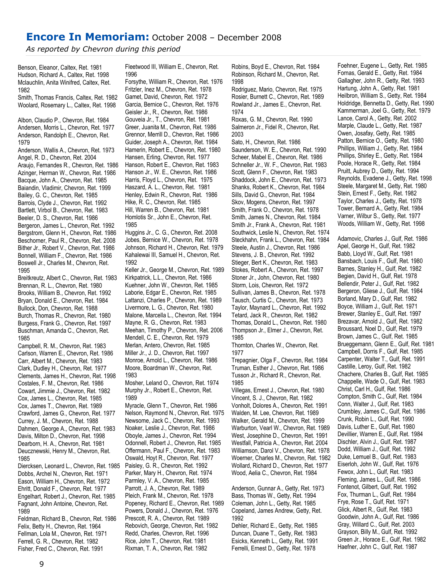## Encore In Memoriam: October 2008 – December 2008

As reported by Chevron during this period

Benson, Eleanor, Caltex, Ret. 1981 Hudson, Richard A., Caltex, Ret. 1998 Mclauchlin, Anita Winifred, Caltex, Ret. 1982

Smith, Thomas Francis, Caltex, Ret. 1982 Woolard, Rosemary L., Caltex, Ret. 1998

Albon, Claudio P., Chevron, Ret. 1984 Andersen, Morris L., Chevron, Ret. 1977 Anderson, Randolph E., Chevron, Ret. 1979 Anderson, Wallis A., Chevron, Ret. 1973 Angel, R. D., Chevron, Ret. 2004 Araujo, Fernandes R., Chevron, Ret. 1986 Azinger, Herman W., Chevron, Ret. 1986

Bacque, John A., Chevron, Ret. 1985 Baiandin, Vladimir, Chevron, Ret. 1999 Bailey, G. C., Chevron, Ret. 1985 Barrois, Clyde J., Chevron, Ret. 1992 Bartlett, Virbol B., Chevron, Ret. 1983 Beeler, D. S., Chevron, Ret. 1986 Bergeron, James L., Chevron, Ret. 1992 Bergstrom, Glenn H., Chevron, Ret. 1986 Beschorner, Paul R., Chevron, Ret. 2008 Bither Jr., Robert V., Chevron, Ret. 1986 Bonnell, William F., Chevron, Ret. 1986 Boswell Jr., Charles M., Chevron, Ret. 1995

Breitkreutz, Albert C., Chevron, Ret. 1983 Brennan, R. L., Chevron, Ret. 1980 Brooks, William B., Chevron, Ret. 1992 Bryan, Donald E., Chevron, Ret. 1984 Bullock, Don, Chevron, Ret. 1988 Burch, Thomas R., Chevron, Ret. 1980 Burgess, Frank G., Chevron, Ret. 1997 Buschman, Amanda C., Chevron, Ret. 1985

Campbell, R. M., Chevron, Ret. 1983 Carlson, Warren E., Chevron, Ret. 1986 Carr, Albert M., Chevron, Ret. 1983 Clark, Dudley H., Chevron, Ret. 1977 Clements, James H., Chevron, Ret. 1998 Costales, F. M., Chevron, Ret. 1986 Cowart, Jimmie J., Chevron, Ret. 1982 Cox, James L., Chevron, Ret. 1985 Cox, James T., Chevron, Ret. 1989 Crawford, James G., Chevron, Ret. 1977 Currey, J. M., Chevron, Ret. 1988 Dahmen, George A., Chevron, Ret. 1983 Davis, Milton D., Chevron, Ret. 1998 Dearborn, H. A., Chevron, Ret. 1981 Deucznewski, Henry M., Chevron, Ret. 1985 Diercksen, Leonard L., Chevron, Ret. 1985 Dobbs, Archel N., Chevron, Ret. 1971 Eason, William H., Chevron, Ret. 1972 Ehritt, Donald F., Chevron, Ret. 1977 Engelhart, Robert J., Chevron, Ret. 1985 Fagnant, John Antoine, Chevron, Ret.

1989 Feldman, Richard B., Chevron, Ret. 1986 Felix, Betty H., Chevron, Ret. 1964 Fellman, Lola M., Chevron, Ret. 1971 Ferrell, G. R., Chevron, Ret. 1982 Fisher, Fred C., Chevron, Ret. 1991

Fleetwood III, William E., Chevron, Ret. 1996

Forsythe, William R., Chevron, Ret. 1976 Fritzler, Inez M., Chevron, Ret. 1978 Gamet, David, Chevron, Ret. 1972 Garcia, Bernice C., Chevron, Ret. 1976 Geisler Jr., R., Chevron, Ret. 1986 Gouveia Jr., T., Chevron, Ret. 1981 Greer, Juanita M., Chevron, Ret. 1986 Grennor, Merrill D., Chevron, Ret. 1986 Guider, Joseph A., Chevron, Ret. 1984 Hamerin, Robert E., Chevron, Ret. 1980 Hansen, Erling, Chevron, Ret. 1977 Hanson, Robert E., Chevron, Ret. 1983 Hanson Jr., W. E., Chevron, Ret. 1986 Harris, Floyd L., Chevron, Ret. 1975 Haszard, A. L., Chevron, Ret. 1981 Henley, Edwin R., Chevron, Ret. 1986 Hike, R. C., Chevron, Ret. 1985 Hill, Warren B., Chevron, Ret. 1981 Homlotis Sr., John E., Chevron, Ret. 1985

Huggins Jr., C. G., Chevron, Ret. 2008 Jobes, Bernice W., Chevron, Ret. 1978 Johnson, Richard H., Chevron, Ret. 1979 Kahalewai III, Samuel H., Chevron, Ret. 1992

Keller Jr., George M., Chevron, Ret. 1989 Kirkpatrick, L.L., Chevron, Ret. 1986 Kuehner, John W., Chevron, Ret. 1985 Laborie, Edgar E., Chevron, Ret. 1985 Lattanzi, Charles P., Chevron, Ret. 1989 Livermore, L. G., Chevron, Ret. 1980 Malone, Marcella L., Chevron, Ret. 1994 Mayne, R. G., Chevron, Ret. 1983 Meehan, Timothy P., Chevron, Ret. 2006 Mendell, C. E., Chevron, Ret. 1979 Merlan, Antero, Chevron, Ret. 1985 Miller Jr., J. D., Chevron, Ret. 1997 Monroe, Arnold L., Chevron, Ret. 1986 Moore, Boardman W., Chevron, Ret. 1983

Mosher, Leland O., Chevron, Ret. 1974 Murphy Jr., Robert E., Chevron, Ret. 1989

Myracle, Glenn T., Chevron, Ret. 1986 Nelson, Raymond N., Chevron, Ret. 1975 Newsome, Jack C., Chevron, Ret. 1993 Noaker, Leslie J., Chevron, Ret. 1986 Oboyle, James J., Chevron, Ret. 1994 Odonnell, Robert J., Chevron, Ret. 1985 Offermann, Paul F., Chevron, Ret. 1983 Oswald, Hoyt R., Chevron, Ret. 1977 Paisley, G. R., Chevron, Ret. 1992 Parker, Mary H., Chevron, Ret. 1974 Parmley, V. A., Chevron, Ret. 1985 Parrott, J. A., Chevron, Ret. 1989 Pleich, Frank M., Chevron, Ret. 1978 Popeney, Richard E., Chevron, Ret. 1989 Powers, Donald J., Chevron, Ret. 1976 Prescott, R. A., Chevron, Ret. 1989 Rebovich, George, Chevron, Ret. 1982 Redd, Charles, Chevron, Ret. 1996 Rice, John T., Chevron, Ret. 1981 Rixman, T. A., Chevron, Ret. 1982

Robins, Boyd E., Chevron, Ret. 1984 Robinson, Richard M., Chevron, Ret. 1998

Rodriguez, Mario, Chevron, Ret. 1975 Rosier, Burnett C., Chevron, Ret. 1989 Rowland Jr., James E., Chevron, Ret. 1974

Roxas, G. M., Chevron, Ret. 1990 Salmeron Jr., Fidel R., Chevron, Ret. 2003

Sato, H., Chevron, Ret. 1986 Saunderson, W. E., Chevron, Ret. 1990 Scheer, Mabel E., Chevron, Ret. 1986 Schneller Jr., W. F., Chevron, Ret. 1983 Scott, Glenn F., Chevron, Ret. 1983 Shaddock, John E., Chevron, Ret. 1973 Shanks, Robert K., Chevron, Ret. 1984 Sills, David G., Chevron, Ret. 1984 Skov, Mogens, Chevron, Ret. 1997 Smith, Frank O., Chevron, Ret. 1978 Smith, James N., Chevron, Ret. 1984 Smith Jr., Frank A., Chevron, Ret. 1981 Southwick, Leslie N., Chevron, Ret. 1974 Steckhahn, Frank L., Chevron, Ret. 1984 Steele, Austin J., Chevron, Ret. 1986 Stevens, J. B., Chevron, Ret. 1992 Stieger, Bert K., Chevron, Ret. 1983 Stokes, Robert A., Chevron, Ret. 1997 Stoner Jr., John, Chevron, Ret. 1980 Storm, Lois, Chevron, Ret. 1972 Sullivan, James B., Chevron, Ret. 1978 Tausch, Curtis C., Chevron, Ret. 1973 Taylor, Maynard L., Chevron, Ret. 1992 Tetard, Jack R., Chevron, Ret. 1982 Thomas, Donald L., Chevron, Ret. 1980 Thompson Jr., Elmer J., Chevron, Ret. 1985

Thornton, Charles W., Chevron, Ret. 1977

Trepagnier, Olga F., Chevron, Ret. 1984 Truman, Esther J., Chevron, Ret. 1986 Tusson Jr., Richard R., Chevron, Ret. 1985

Villegas, Ernest J., Chevron, Ret. 1980 Vincent, S. J., Chevron, Ret. 1982 Vonholt, Dolores A., Chevron, Ret. 1991 Walden, M. Lee, Chevron, Ret. 1989 Walker, Gerald M., Chevron, Ret. 1999 Warburton, Vearl W., Chevron, Ret. 1989 West, Josephine D., Chevron, Ret. 1991 Westfall, Patricia A., Chevron, Ret. 2004 Williamson, Darol V., Chevron, Ret. 1978 Woerner, Charles M., Chevron, Ret. 1982 Wollard, Richard D., Chevron, Ret. 1977 Wood, Aelia C., Chevron, Ret. 1984

Anderson, Gunnar A., Getty, Ret. 1973 Bass, Thomas W., Getty, Ret. 1994 Coleman, John L., Getty, Ret. 1985 Copeland, James Andrew, Getty, Ret. 1992 Dehler, Richard E., Getty, Ret. 1985 Duncan, Duane T., Getty, Ret. 1983

Esicks, Kenneth L., Getty, Ret. 1991 Ferrelli, Ernest D., Getty, Ret. 1978

Foehner, Eugene L., Getty, Ret. 1985 Fornas, Gerald E., Getty, Ret. 1984 Gallagher, John R., Getty, Ret. 1993 Hartung, John A., Getty, Ret. 1981 Heilbron, William S., Getty, Ret. 1984 Holdridge, Bennetta D., Getty, Ret. 1990 Kammerman, Joel G., Getty, Ret. 1979 Lance, Carol A., Getty, Ret. 2002 Marple, Claude L., Getty, Ret. 1987 Owen, Josafay, Getty, Ret. 1985 Patton, Bernice O., Getty, Ret. 1980 Phillips, William J., Getty, Ret. 1984 Phillips, Shirley E., Getty, Ret. 1984 Poole, Horace R., Getty, Ret. 1984 Pruitt, Aubrey D., Getty, Ret. 1994 Reynolds, Evadene J., Getty, Ret. 1998 Steele, Margaret M., Getty, Ret. 1980 Stein, Ernest F., Getty, Ret. 1982 Taylor, Charles J., Getty, Ret. 1978 Tower, Bernard A., Getty, Ret. 1984 Varner, Wilbur S., Getty, Ret. 1977 Woods, William W., Getty, Ret. 1998

Adamovic, Charles J., Gulf, Ret. 1986 Apel, George H., Gulf, Ret. 1982 Babb, Lloyd W., Gulf, Ret. 1981 Bansbach, Louis F., Gulf, Ret. 1980 Barnes, Stanley H., Gulf, Ret. 1982 Begien, David H., Gulf, Ret. 1978 Bellendir, Peter J., Gulf, Ret. 1982 Bergeron, Gliese J., Gulf, Ret. 1984 Borland, Mary D., Gulf, Ret. 1982 Boyce, William J., Gulf, Ret. 1971 Brewer, Stanley E., Gulf, Ret. 1997 Brezavar, Arnold J., Gulf, Ret. 1982 Broussard, Noel D., Gulf, Ret. 1979 Brown, James C., Gulf, Ret. 1985 Brueggemann, Glenn E., Gulf, Ret. 1981 Campbell, Dorris F., Gulf, Ret. 1985 Carpenter, Walter T., Gulf, Ret. 1991 Castille, Leroy, Gulf, Ret. 1982 Chachere, Charles B., Gulf, Ret. 1985 Chappelle, Wade O., Gulf, Ret. 1983 Christ, Carl H., Gulf, Ret. 1986 Compton, Smith C., Gulf, Ret. 1984 Conn, Walter J., Gulf, Ret. 1983 Crumbley, James C., Gulf, Ret. 1986 Crunk, Robin L., Gulf, Ret. 1990 Davis, Luther E., Gulf, Ret. 1980 Devillier, Warren E., Gulf, Ret. 1984 Dischler, Alvin J., Gulf, Ret. 1987 Dodd, William J., Gulf, Ret. 1992 Duke, Lemuel B., Gulf, Ret. 1983 Eiserloh, John W., Gulf, Ret. 1976 Fewox, John L., Gulf, Ret. 1983 Fleming, James L., Gulf, Ret. 1986 Fontenot, Gilbert, Gulf, Ret. 1992 Fox, Thurman L., Gulf, Ret. 1984 Frye, Rose T., Gulf, Ret. 1971 Glick, Albert R., Gulf, Ret. 1983 Goodwin, John A., Gulf, Ret. 1986 Gray, Willard C., Gulf, Ret. 2003 Grayson, Billy M., Gulf, Ret. 1992 Green Jr., Horace E., Gulf, Ret. 1982 Haefner, John C., Gulf, Ret. 1987